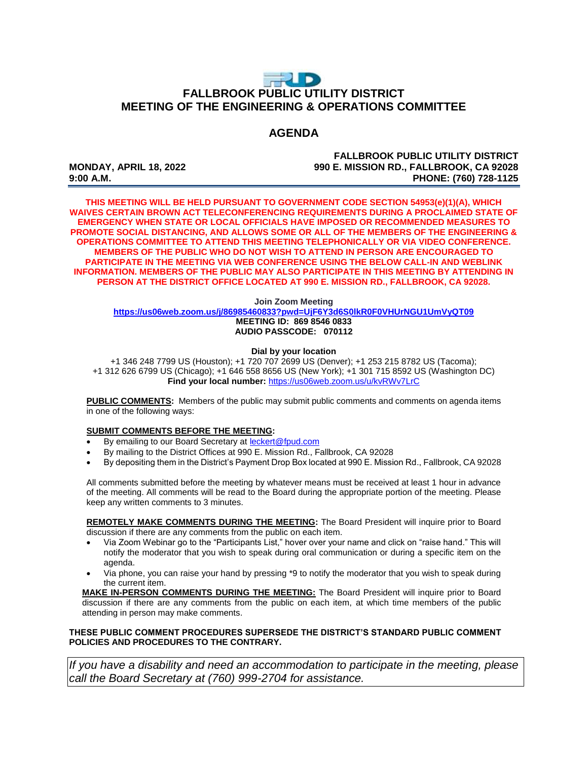# $\Rightarrow$  D **FALLBROOK PUBLIC UTILITY DISTRICT MEETING OF THE ENGINEERING & OPERATIONS COMMITTEE**

## **AGENDA**

**FALLBROOK PUBLIC UTILITY DISTRICT MONDAY, APRIL 18, 2022 990 E. MISSION RD., FALLBROOK, CA 92028 9:00 A.M. PHONE: (760) 728-1125**

**THIS MEETING WILL BE HELD PURSUANT TO GOVERNMENT CODE SECTION 54953(e)(1)(A), WHICH WAIVES CERTAIN BROWN ACT TELECONFERENCING REQUIREMENTS DURING A PROCLAIMED STATE OF EMERGENCY WHEN STATE OR LOCAL OFFICIALS HAVE IMPOSED OR RECOMMENDED MEASURES TO PROMOTE SOCIAL DISTANCING, AND ALLOWS SOME OR ALL OF THE MEMBERS OF THE ENGINEERING & OPERATIONS COMMITTEE TO ATTEND THIS MEETING TELEPHONICALLY OR VIA VIDEO CONFERENCE. MEMBERS OF THE PUBLIC WHO DO NOT WISH TO ATTEND IN PERSON ARE ENCOURAGED TO PARTICIPATE IN THE MEETING VIA WEB CONFERENCE USING THE BELOW CALL-IN AND WEBLINK INFORMATION. MEMBERS OF THE PUBLIC MAY ALSO PARTICIPATE IN THIS MEETING BY ATTENDING IN PERSON AT THE DISTRICT OFFICE LOCATED AT 990 E. MISSION RD., FALLBROOK, CA 92028.**

#### **Join Zoom Meeting**

**<https://us06web.zoom.us/j/86985460833?pwd=UjF6Y3d6S0lkR0F0VHUrNGU1UmVyQT09> MEETING ID: 869 8546 0833 AUDIO PASSCODE: 070112**

#### **Dial by your location**

+1 346 248 7799 US (Houston); +1 720 707 2699 US (Denver); +1 253 215 8782 US (Tacoma); +1 312 626 6799 US (Chicago); +1 646 558 8656 US (New York); +1 301 715 8592 US (Washington DC) **Find your local number:** <https://us06web.zoom.us/u/kvRWv7LrC>

**PUBLIC COMMENTS:** Members of the public may submit public comments and comments on agenda items in one of the following ways:

### **SUBMIT COMMENTS BEFORE THE MEETING:**

- By emailing to our Board Secretary at **leckert@fpud.com**
- By mailing to the District Offices at 990 E. Mission Rd., Fallbrook, CA 92028
- By depositing them in the District's Payment Drop Box located at 990 E. Mission Rd., Fallbrook, CA 92028

All comments submitted before the meeting by whatever means must be received at least 1 hour in advance of the meeting. All comments will be read to the Board during the appropriate portion of the meeting. Please keep any written comments to 3 minutes.

**REMOTELY MAKE COMMENTS DURING THE MEETING:** The Board President will inquire prior to Board discussion if there are any comments from the public on each item.

- Via Zoom Webinar go to the "Participants List," hover over your name and click on "raise hand." This will notify the moderator that you wish to speak during oral communication or during a specific item on the agenda.
- Via phone, you can raise your hand by pressing \*9 to notify the moderator that you wish to speak during the current item.

**MAKE IN-PERSON COMMENTS DURING THE MEETING:** The Board President will inquire prior to Board discussion if there are any comments from the public on each item, at which time members of the public attending in person may make comments.

### **THESE PUBLIC COMMENT PROCEDURES SUPERSEDE THE DISTRICT'S STANDARD PUBLIC COMMENT POLICIES AND PROCEDURES TO THE CONTRARY.**

*If you have a disability and need an accommodation to participate in the meeting, please call the Board Secretary at (760) 999-2704 for assistance.*